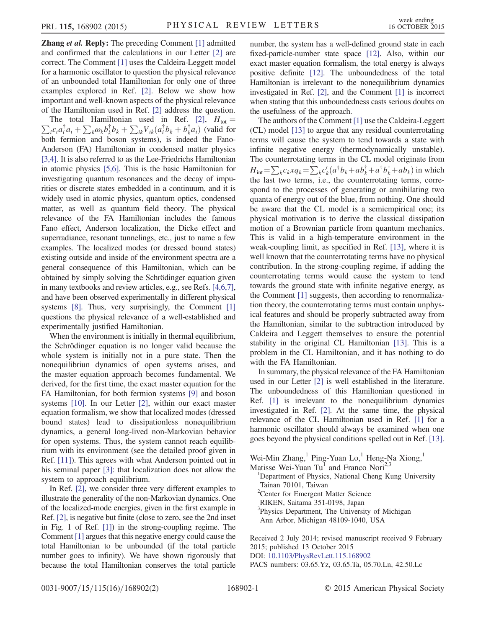**Zhang et al. Reply:** The preceding Comment [\[1\]](#page-1-0) admitted and confirmed that the calculations in our Letter [\[2\]](#page-1-1) are correct. The Comment [\[1\]](#page-1-0) uses the Caldeira-Leggett model for a harmonic oscillator to question the physical relevance of an unbounded total Hamiltonian for only one of three examples explored in Ref. [\[2\]](#page-1-1). Below we show how important and well-known aspects of the physical relevance of the Hamiltonian used in Ref. [\[2\]](#page-1-1) address the question.

 $\sum_i \varepsilon_i a_i^{\dagger} a_i + \sum_k \omega_k b_k^{\dagger} b_k + \sum_{ik} V_{ik} (a_i^{\dagger} b_k + b_k^{\dagger} a_i)$  (valid for The total Hamiltonian used in Ref. [\[2\]](#page-1-1),  $H_{\text{tot}} =$ both fermion and boson systems), is indeed the Fano-Anderson (FA) Hamiltonian in condensed matter physics [\[3,4\]](#page-1-2). It is also referred to as the Lee-Friedrichs Hamiltonian in atomic physics [\[5,6\].](#page-1-3) This is the basic Hamiltonian for investigating quantum resonances and the decay of impurities or discrete states embedded in a continuum, and it is widely used in atomic physics, quantum optics, condensed matter, as well as quantum field theory. The physical relevance of the FA Hamiltonian includes the famous Fano effect, Anderson localization, the Dicke effect and superradiance, resonant tunnelings, etc., just to name a few examples. The localized modes (or dressed bound states) existing outside and inside of the environment spectra are a general consequence of this Hamiltonian, which can be obtained by simply solving the Schrödinger equation given in many textbooks and review articles, e.g., see Refs. [\[4,6,7\]](#page-1-4), and have been observed experimentally in different physical systems [\[8\].](#page-1-5) Thus, very surprisingly, the Comment [\[1\]](#page-1-0) questions the physical relevance of a well-established and experimentally justified Hamiltonian.

When the environment is initially in thermal equilibrium, the Schrödinger equation is no longer valid because the whole system is initially not in a pure state. Then the nonequilibriun dynamics of open systems arises, and the master equation approach becomes fundamental. We derived, for the first time, the exact master equation for the FA Hamiltonian, for both fermion systems [\[9\]](#page-1-6) and boson systems [\[10\].](#page-1-7) In our Letter [\[2\],](#page-1-1) within our exact master equation formalism, we show that localized modes (dressed bound states) lead to dissipationless nonequilibrium dynamics, a general long-lived non-Markovian behavior for open systems. Thus, the system cannot reach equilibrium with its environment (see the detailed proof given in Ref. [\[11\]\)](#page-1-8). This agrees with what Anderson pointed out in his seminal paper [\[3\]:](#page-1-2) that localization does not allow the system to approach equilibrium.

In Ref. [\[2\],](#page-1-1) we consider three very different examples to illustrate the generality of the non-Markovian dynamics. One of the localized-mode energies, given in the first example in Ref. [\[2\]](#page-1-1), is negative but finite (close to zero, see the 2nd inset in Fig. 1 of Ref. [\[1\]\)](#page-1-0) in the strong-coupling regime. The Comment [\[1\]](#page-1-0) argues that this negative energy could cause the total Hamiltonian to be unbounded (if the total particle number goes to infinity). We have shown rigorously that because the total Hamiltonian conserves the total particle number, the system has a well-defined ground state in each fixed-particle-number state space [\[12\]](#page-1-9). Also, within our exact master equation formalism, the total energy is always positive definite [\[12\].](#page-1-9) The unboundedness of the total Hamiltonian is irrelevant to the nonequilibrium dynamics investigated in Ref. [\[2\],](#page-1-1) and the Comment [\[1\]](#page-1-0) is incorrect when stating that this unboundedness casts serious doubts on the usefulness of the approach.

The authors of the Comment [\[1\]](#page-1-0) use the Caldeira-Leggett (CL) model [\[13\]](#page-1-10) to argue that any residual counterrotating terms will cause the system to tend towards a state with infinite negative energy (thermodynamically unstable). The counterrotating terms in the CL model originate from  $H_{int} = \sum_k c_k x q_k = \sum_k c'_k (a^{\dagger} b_k + a b_k^{\dagger} + a^{\dagger} b_k^{\dagger} + a b_k)$  in which the last two terms, i.e., the counterrotating terms, correspond to the processes of generating or annihilating two quanta of energy out of the blue, from nothing. One should be aware that the CL model is a semiempirical one; its physical motivation is to derive the classical dissipation motion of a Brownian particle from quantum mechanics. This is valid in a high-temperature environment in the weak-coupling limit, as specified in Ref. [\[13\],](#page-1-10) where it is well known that the counterrotating terms have no physical contribution. In the strong-coupling regime, if adding the counterrotating terms would cause the system to tend towards the ground state with infinite negative energy, as the Comment [\[1\]](#page-1-0) suggests, then according to renormalization theory, the counterrotating terms must contain unphysical features and should be properly subtracted away from the Hamiltonian, similar to the subtraction introduced by Caldeira and Leggett themselves to ensure the potential stability in the original CL Hamiltonian [\[13\].](#page-1-10) This is a problem in the CL Hamiltonian, and it has nothing to do with the FA Hamiltonian.

In summary, the physical relevance of the FA Hamiltonian used in our Letter [\[2\]](#page-1-1) is well established in the literature. The unboundedness of this Hamiltonian questioned in Ref. [\[1\]](#page-1-0) is irrelevant to the nonequilibrium dynamics investigated in Ref. [\[2\].](#page-1-1) At the same time, the physical relevance of the CL Hamiltonian used in Ref. [\[1\]](#page-1-0) for a harmonic oscillator should always be examined when one goes beyond the physical conditions spelled out in Ref. [\[13\]](#page-1-10).

Wei-Min Zhang,<sup>1</sup> Ping-Yuan Lo,<sup>1</sup> Heng-Na Xiong,<sup>1</sup> Matisse Wei-Yuan Tu<sup>1</sup> and Franco Nori<sup>2,3</sup> <sup>1</sup>Department of Physics, National Cheng Kung University Tainan 70101, Taiwan <sup>2</sup>Center for Emergent Matter Science RIKEN, Saitama 351-0198, Japan

- <sup>3</sup>Physics Department, The University of Michigan
- Ann Arbor, Michigan 48109-1040, USA

Received 2 July 2014; revised manuscript received 9 February 2015; published 13 October 2015

DOI: [10.1103/PhysRevLett.115.168902](http://dx.doi.org/10.1103/PhysRevLett.115.168902)

PACS numbers: 03.65.Yz, 03.65.Ta, 05.70.Ln, 42.50.Lc